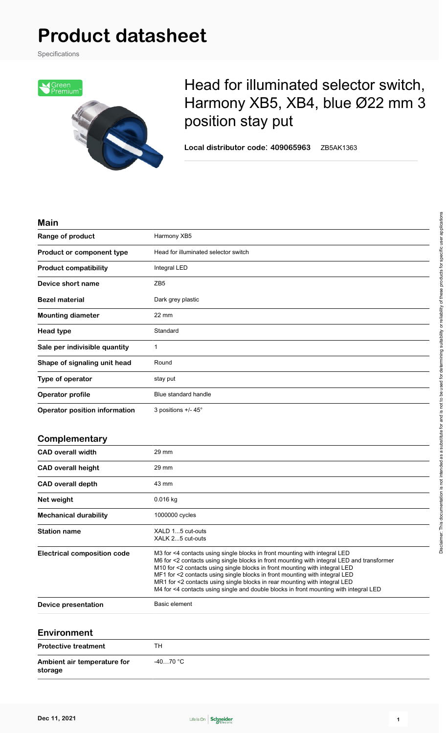Specifications



# Head for illuminated selector switch, Harmony XB5, XB4, blue Ø22 mm 3 position stay put

**Local distributor code**: **409065963** ZB5AK1363

## **Main**

| Harmony XB5                          |  |
|--------------------------------------|--|
| Head for illuminated selector switch |  |
| Integral LED                         |  |
| ZB <sub>5</sub>                      |  |
| Dark grey plastic                    |  |
| 22 mm                                |  |
| Standard                             |  |
|                                      |  |
| Round                                |  |
| stay put                             |  |
| Blue standard handle                 |  |
| 3 positions $+/- 45^\circ$           |  |
|                                      |  |

## **Complementary**

| <b>CAD overall width</b>     | 29 mm                                                                                                                                                                                                                                                                                                                                                                                                                                                                                                         |
|------------------------------|---------------------------------------------------------------------------------------------------------------------------------------------------------------------------------------------------------------------------------------------------------------------------------------------------------------------------------------------------------------------------------------------------------------------------------------------------------------------------------------------------------------|
| <b>CAD overall height</b>    | 29 mm                                                                                                                                                                                                                                                                                                                                                                                                                                                                                                         |
| <b>CAD</b> overall depth     | 43 mm                                                                                                                                                                                                                                                                                                                                                                                                                                                                                                         |
| Net weight                   | $0.016$ kg                                                                                                                                                                                                                                                                                                                                                                                                                                                                                                    |
| <b>Mechanical durability</b> | 1000000 cycles                                                                                                                                                                                                                                                                                                                                                                                                                                                                                                |
| <b>Station name</b>          | XALD 15 cut-outs<br>XALK 25 cut-outs                                                                                                                                                                                                                                                                                                                                                                                                                                                                          |
| Electrical composition code  | M3 for <4 contacts using single blocks in front mounting with integral LED<br>M6 for <2 contacts using single blocks in front mounting with integral LED and transformer<br>M10 for <2 contacts using single blocks in front mounting with integral LED<br>MF1 for <2 contacts using single blocks in front mounting with integral LED<br>MR1 for <2 contacts using single blocks in rear mounting with integral LED<br>M4 for <4 contacts using single and double blocks in front mounting with integral LED |
| Device presentation          | Basic element                                                                                                                                                                                                                                                                                                                                                                                                                                                                                                 |
|                              |                                                                                                                                                                                                                                                                                                                                                                                                                                                                                                               |

## **Environment**

| <b>Protective treatment</b>            | TH        |
|----------------------------------------|-----------|
| Ambient air temperature for<br>storage | -40…70 °C |

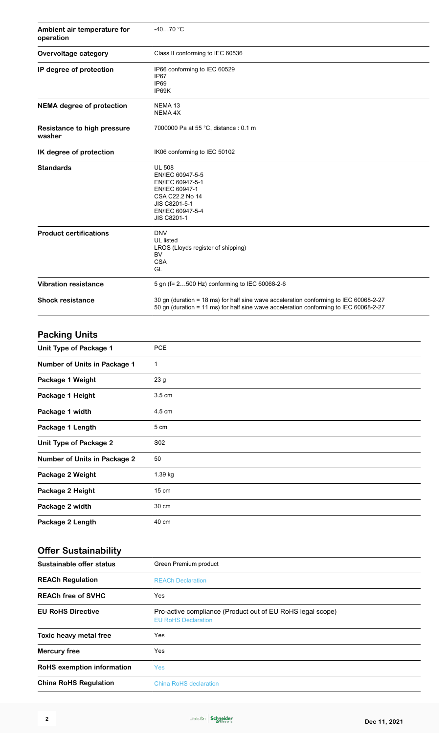| Ambient air temperature for<br>operation | $-4070 °C$                                                                                                                                                                     |
|------------------------------------------|--------------------------------------------------------------------------------------------------------------------------------------------------------------------------------|
| Overvoltage category                     | Class II conforming to IEC 60536                                                                                                                                               |
| IP degree of protection                  | IP66 conforming to IEC 60529<br>IP67<br>IP <sub>69</sub><br>IP69K                                                                                                              |
| <b>NEMA</b> degree of protection         | NEMA 13<br>NEMA 4X                                                                                                                                                             |
| Resistance to high pressure<br>washer    | 7000000 Pa at 55 °C, distance : 0.1 m                                                                                                                                          |
| IK degree of protection                  | IK06 conforming to IEC 50102                                                                                                                                                   |
| <b>Standards</b>                         | <b>UL 508</b><br>EN/IEC 60947-5-5<br>EN/IEC 60947-5-1<br>EN/IEC 60947-1<br>CSA C22.2 No 14<br>JIS C8201-5-1<br>EN/IEC 60947-5-4<br>JIS C8201-1                                 |
| <b>Product certifications</b>            | <b>DNV</b><br>UL listed<br>LROS (Lloyds register of shipping)<br><b>BV</b><br><b>CSA</b><br>GL                                                                                 |
| <b>Vibration resistance</b>              | 5 gn (f= 2500 Hz) conforming to IEC 60068-2-6                                                                                                                                  |
| <b>Shock resistance</b>                  | 30 gn (duration = 18 ms) for half sine wave acceleration conforming to IEC 60068-2-27<br>50 gn (duration = 11 ms) for half sine wave acceleration conforming to IEC 60068-2-27 |
| <b>Packing Units</b>                     |                                                                                                                                                                                |

| Unit Type of Package 1              | <b>PCE</b>      |
|-------------------------------------|-----------------|
| Number of Units in Package 1        | 1               |
| Package 1 Weight                    | 23 <sub>g</sub> |
| Package 1 Height                    | 3.5 cm          |
| Package 1 width                     | 4.5 cm          |
| Package 1 Length                    | 5 cm            |
| <b>Unit Type of Package 2</b>       | S02             |
| <b>Number of Units in Package 2</b> | 50              |
| Package 2 Weight                    | 1.39 kg         |
| Package 2 Height                    | 15 cm           |
| Package 2 width                     | 30 cm           |
| Package 2 Length                    | 40 cm           |

## **Offer Sustainability**

| Sustainable offer status          | Green Premium product                                                                    |
|-----------------------------------|------------------------------------------------------------------------------------------|
| <b>REACh Regulation</b>           | <b>REACh Declaration</b>                                                                 |
| <b>REACh free of SVHC</b>         | Yes                                                                                      |
| <b>EU RoHS Directive</b>          | Pro-active compliance (Product out of EU RoHS legal scope)<br><b>EU RoHS Declaration</b> |
| Toxic heavy metal free            | Yes                                                                                      |
| <b>Mercury free</b>               | Yes                                                                                      |
| <b>RoHS</b> exemption information | <b>Yes</b>                                                                               |
| <b>China RoHS Regulation</b>      | China RoHS declaration                                                                   |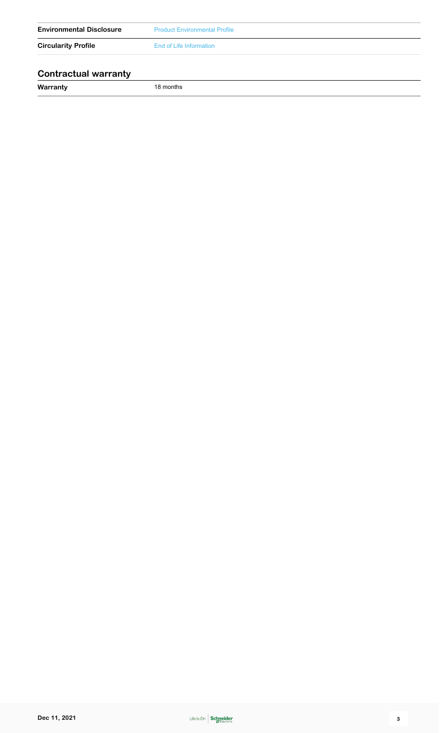| <b>Environmental Disclosure</b> | <b>Product Environmental Profile</b> |
|---------------------------------|--------------------------------------|
| <b>Circularity Profile</b>      | End of Life Information              |
| <b>Contractual warranty</b>     |                                      |

**Warranty** 18 months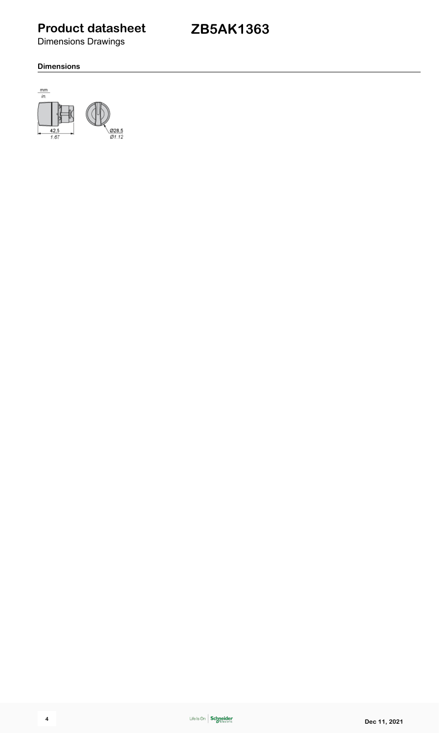Dimensions Drawings

# **ZB5AK1363**

## **Dimensions**

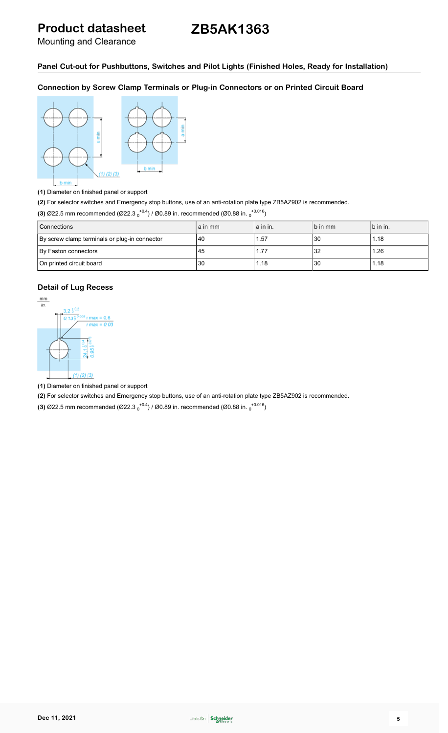# **ZB5AK1363**

Mounting and Clearance

## **Panel Cut-out for Pushbuttons, Switches and Pilot Lights (Finished Holes, Ready for Installation)**

**Connection by Screw Clamp Terminals or Plug-in Connectors or on Printed Circuit Board**



**(1)** Diameter on finished panel or support

**(2)** For selector switches and Emergency stop buttons, use of an anti-rotation plate type ZB5AZ902 is recommended.

**(3)** Ø22.5 mm recommended (Ø22.3  $_0$ <sup>+0.4</sup>) / Ø0.89 in. recommended (Ø0.88 in.  $_0$ <sup>+0.016</sup>)

| <b>Connections</b>                            | a in mm | a in in. | b in mm | b in in. |
|-----------------------------------------------|---------|----------|---------|----------|
| By screw clamp terminals or plug-in connector | 40      | 1.57     | 30      | 1.18     |
| By Faston connectors                          | 45      | 1.77     | 32      | 1.26     |
| On printed circuit board                      | 30      | 1.18     | 30      | 1.18     |

## **Detail of Lug Recess**



**(1)** Diameter on finished panel or support

**(2)** For selector switches and Emergency stop buttons, use of an anti-rotation plate type ZB5AZ902 is recommended.

**(3)** Ø22.5 mm recommended (Ø22.3  $_0$ <sup>+0.4</sup>) / Ø0.89 in. recommended (Ø0.88 in.  $_0$ <sup>+0.016</sup>)

**Dec 11, 2021 5 5**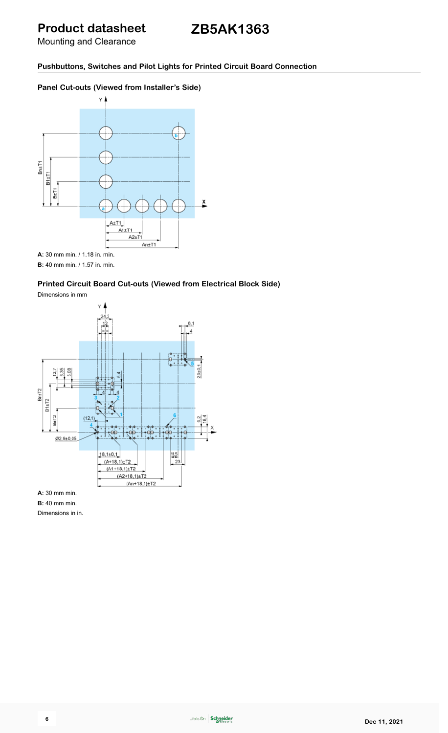# **ZB5AK1363**

Mounting and Clearance

**Pushbuttons, Switches and Pilot Lights for Printed Circuit Board Connection**

## **Panel Cut-outs (Viewed from Installer's Side)**



**B:** 40 mm min. / 1.57 in. min.

## **Printed Circuit Board Cut-outs (Viewed from Electrical Block Side)**

Dimensions in mm



**A:** 30 mm min.

**B:** 40 mm min.

Dimensions in in.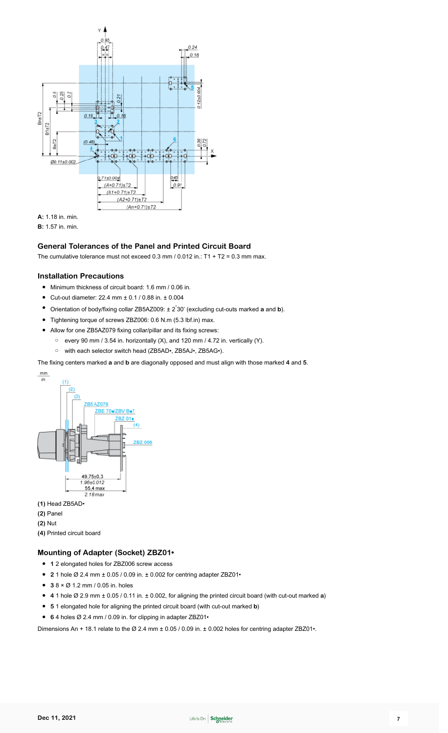

**B:** 1.57 in. min.

## **General Tolerances of the Panel and Printed Circuit Board**

The cumulative tolerance must not exceed 0.3 mm / 0.012 in.:  $T1 + T2 = 0.3$  mm max.

### **Installation Precautions**

- Minimum thickness of circuit board: 1.6 mm / 0.06 in.
- Cut-out diameter: 22.4 mm ± 0.1 / 0.88 in. ± 0.004
- Orientation of body/fixing collar ZB5AZ009: ± 2° 30' (excluding cut-outs marked **a** and **b**).
- Tightening torque of screws ZBZ006: 0.6 N.m (5.3 lbf.in) max.
- Allow for one ZB5AZ079 fixing collar/pillar and its fixing screws:
	- every 90 mm / 3.54 in. horizontally (X), and 120 mm / 4.72 in. vertically (Y).
	- with each selector switch head (ZB5AD•, ZB5AJ•, ZB5AG•).

The fixing centers marked **a** and **b** are diagonally opposed and must align with those marked **4** and **5**.



- **(1)** Head ZB5AD•
- **(2)** Panel
- **(2)** Nut
- **(4)** Printed circuit board

## **Mounting of Adapter (Socket) ZBZ01•**

- **1** 2 elongated holes for ZBZ006 screw access
- **2** 1 hole Ø 2.4 mm ± 0.05 / 0.09 in. ± 0.002 for centring adapter ZBZ01•
- **3** 8 × Ø 1.2 mm / 0.05 in. holes
- **4** 1 hole Ø 2.9 mm ± 0.05 / 0.11 in. ± 0.002, for aligning the printed circuit board (with cut-out marked **a**)
- **5** 1 elongated hole for aligning the printed circuit board (with cut-out marked **b**)
- **6** 4 holes Ø 2.4 mm / 0.09 in. for clipping in adapter ZBZ01•

Dimensions An + 18.1 relate to the Ø 2.4 mm ± 0.05 / 0.09 in. ± 0.002 holes for centring adapter ZBZ01•.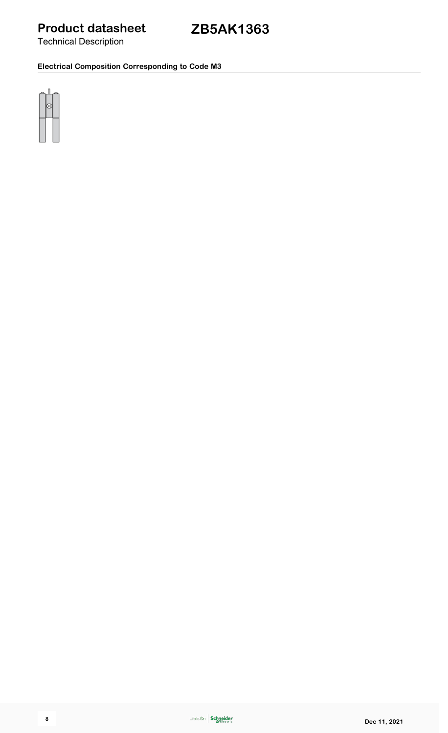Technical Description

**Electrical Composition Corresponding to Code M3**

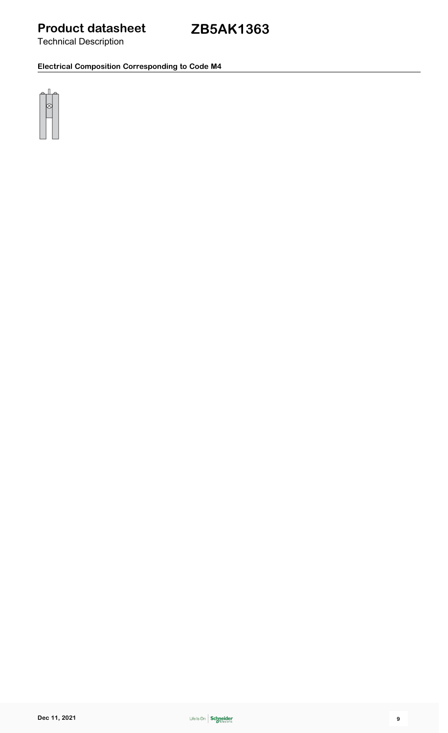Technical Description

**Electrical Composition Corresponding to Code M4**

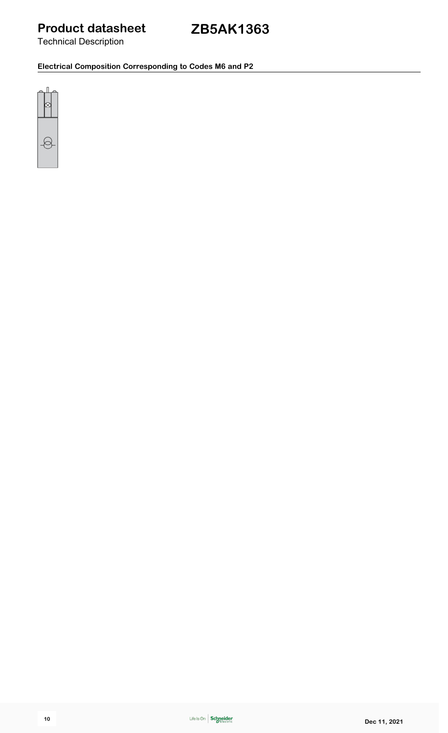Technical Description

**Electrical Composition Corresponding to Codes M6 and P2**

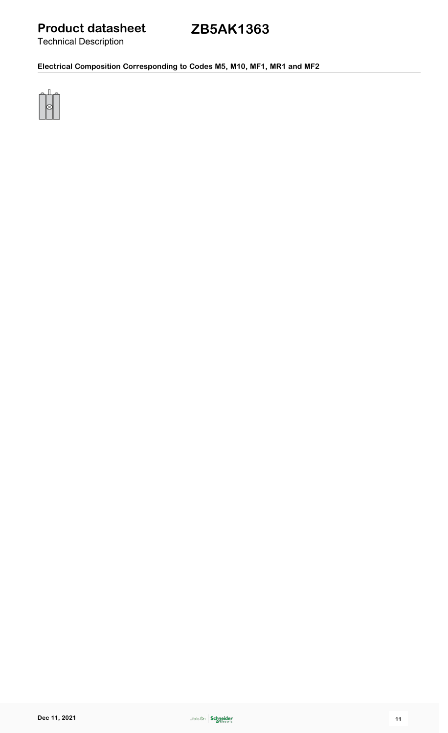Technical Description

# **ZB5AK1363**

**Electrical Composition Corresponding to Codes M5, M10, MF1, MR1 and MF2**

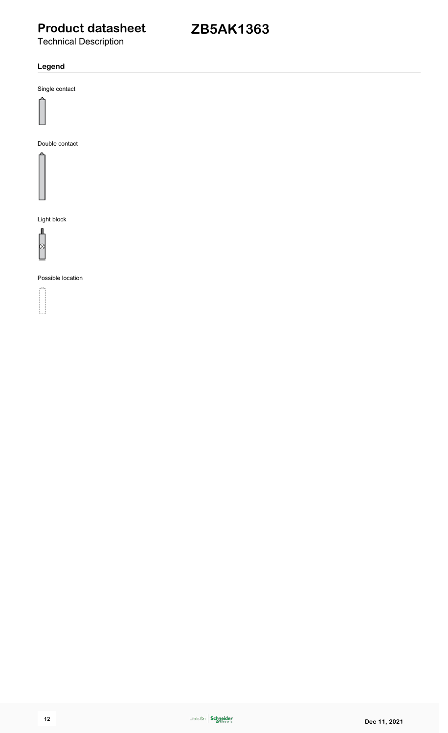# **ZB5AK1363**

Technical Description

## **Legend**

Single contact



Double contact



Light block



Possible location